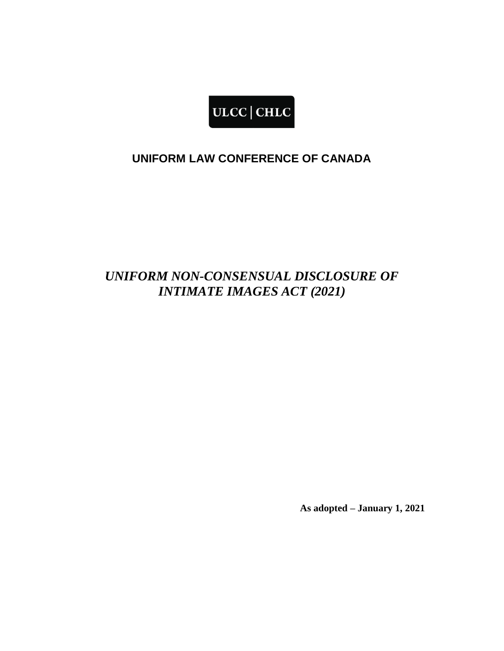

## **UNIFORM LAW CONFERENCE OF CANADA**

# *UNIFORM NON-CONSENSUAL DISCLOSURE OF INTIMATE IMAGES ACT (2021)*

**As adopted – January 1, 2021**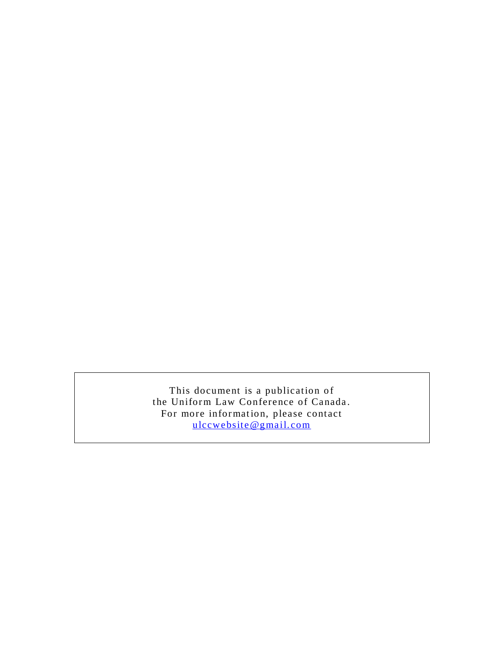This document is a publication of the Uniform Law Conference of Canada. For more information, please contact [ulccwebsite@gmail. com](mailto:ulccwebsite@gmail.com)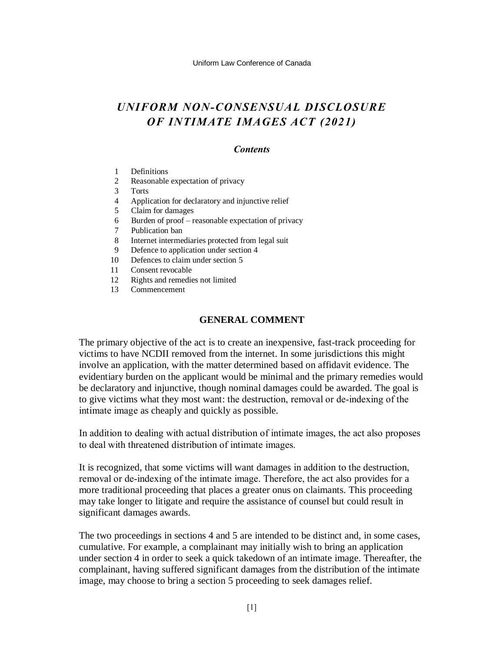## *UNIFORM NON-CONSENSUAL DISCLOSURE OF INTIMATE IMAGES ACT (2021)*

#### *Contents*

- 1 Definitions
- 2 Reasonable expectation of privacy
- 3 Torts
- 4 Application for declaratory and injunctive relief
- 5 Claim for damages
- 6 Burden of proof reasonable expectation of privacy
- 7 Publication ban
- 8 Internet intermediaries protected from legal suit
- 9 Defence to application under section 4
- 10 Defences to claim under section 5
- 11 Consent revocable
- 12 Rights and remedies not limited
- 13 Commencement

#### **GENERAL COMMENT**

The primary objective of the act is to create an inexpensive, fast-track proceeding for victims to have NCDII removed from the internet. In some jurisdictions this might involve an application, with the matter determined based on affidavit evidence. The evidentiary burden on the applicant would be minimal and the primary remedies would be declaratory and injunctive, though nominal damages could be awarded. The goal is to give victims what they most want: the destruction, removal or de-indexing of the intimate image as cheaply and quickly as possible.

In addition to dealing with actual distribution of intimate images, the act also proposes to deal with threatened distribution of intimate images.

It is recognized, that some victims will want damages in addition to the destruction, removal or de-indexing of the intimate image. Therefore, the act also provides for a more traditional proceeding that places a greater onus on claimants. This proceeding may take longer to litigate and require the assistance of counsel but could result in significant damages awards.

The two proceedings in sections 4 and 5 are intended to be distinct and, in some cases, cumulative. For example, a complainant may initially wish to bring an application under section 4 in order to seek a quick takedown of an intimate image. Thereafter, the complainant, having suffered significant damages from the distribution of the intimate image, may choose to bring a section 5 proceeding to seek damages relief.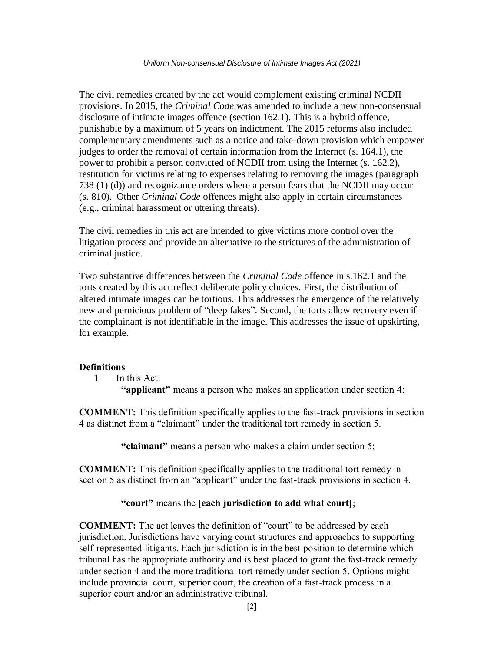The civil remedies created by the act would complement existing criminal NCDII provisions. In 2015, the *Criminal Code* was amended to include a new non-consensual disclosure of intimate images offence (section 162.1). This is a hybrid offence, punishable by a maximum of 5 years on indictment. The 2015 reforms also included complementary amendments such as a notice and take-down provision which empower judges to order the removal of certain information from the Internet (s. 164.1), the power to prohibit a person convicted of NCDII from using the Internet (s. 162.2), restitution for victims relating to expenses relating to removing the images (paragraph 738 (1) (d)) and recognizance orders where a person fears that the NCDII may occur (s. 810). Other *Criminal Code* offences might also apply in certain circumstances (e.g., criminal harassment or uttering threats).

The civil remedies in this act are intended to give victims more control over the litigation process and provide an alternative to the strictures of the administration of criminal justice.

Two substantive differences between the *Criminal Code* offence in s.162.1 and the torts created by this act reflect deliberate policy choices. First, the distribution of altered intimate images can be tortious. This addresses the emergence of the relatively new and pernicious problem of "deep fakes". Second, the torts allow recovery even if the complainant is not identifiable in the image. This addresses the issue of upskirting, for example.

#### **Definitions**

**1** In this Act:

**"applicant"** means a person who makes an application under section 4;

**COMMENT:** This definition specifically applies to the fast-track provisions in section 4 as distinct from a "claimant" under the traditional tort remedy in section 5.

**"claimant"** means a person who makes a claim under section 5;

**COMMENT:** This definition specifically applies to the traditional tort remedy in section 5 as distinct from an "applicant" under the fast-track provisions in section 4.

### **"court"** means the **[each jurisdiction to add what court]**;

**COMMENT:** The act leaves the definition of "court" to be addressed by each jurisdiction. Jurisdictions have varying court structures and approaches to supporting self-represented litigants. Each jurisdiction is in the best position to determine which tribunal has the appropriate authority and is best placed to grant the fast-track remedy under section 4 and the more traditional tort remedy under section 5. Options might include provincial court, superior court, the creation of a fast-track process in a superior court and/or an administrative tribunal.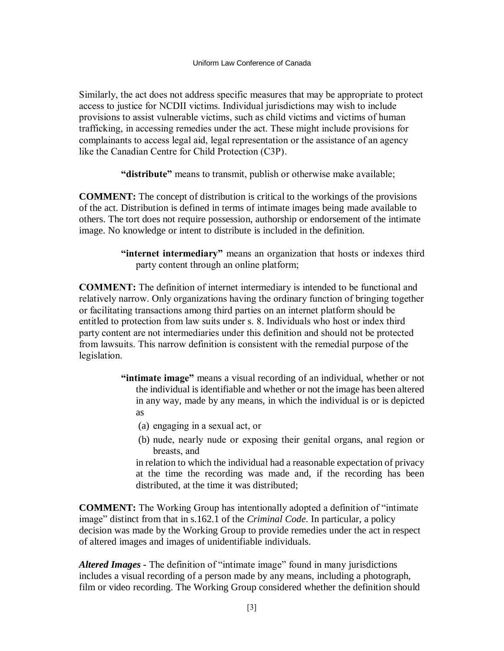Similarly, the act does not address specific measures that may be appropriate to protect access to justice for NCDII victims. Individual jurisdictions may wish to include provisions to assist vulnerable victims, such as child victims and victims of human trafficking, in accessing remedies under the act. These might include provisions for complainants to access legal aid, legal representation or the assistance of an agency like the Canadian Centre for Child Protection (C3P).

**"distribute"** means to transmit, publish or otherwise make available;

**COMMENT:** The concept of distribution is critical to the workings of the provisions of the act. Distribution is defined in terms of intimate images being made available to others. The tort does not require possession, authorship or endorsement of the intimate image. No knowledge or intent to distribute is included in the definition.

> **"internet intermediary"** means an organization that hosts or indexes third party content through an online platform;

**COMMENT:** The definition of internet intermediary is intended to be functional and relatively narrow. Only organizations having the ordinary function of bringing together or facilitating transactions among third parties on an internet platform should be entitled to protection from law suits under s. 8. Individuals who host or index third party content are not intermediaries under this definition and should not be protected from lawsuits. This narrow definition is consistent with the remedial purpose of the legislation.

- **"intimate image"** means a visual recording of an individual, whether or not the individual is identifiable and whether or not the image has been altered in any way, made by any means, in which the individual is or is depicted as
	- (a) engaging in a sexual act, or
	- (b) nude, nearly nude or exposing their genital organs, anal region or breasts, and

in relation to which the individual had a reasonable expectation of privacy at the time the recording was made and, if the recording has been distributed, at the time it was distributed;

**COMMENT:** The Working Group has intentionally adopted a definition of "intimate image" distinct from that in s.162.1 of the *Criminal Code*. In particular, a policy decision was made by the Working Group to provide remedies under the act in respect of altered images and images of unidentifiable individuals.

*Altered Images -* The definition of "intimate image" found in many jurisdictions includes a visual recording of a person made by any means, including a photograph, film or video recording. The Working Group considered whether the definition should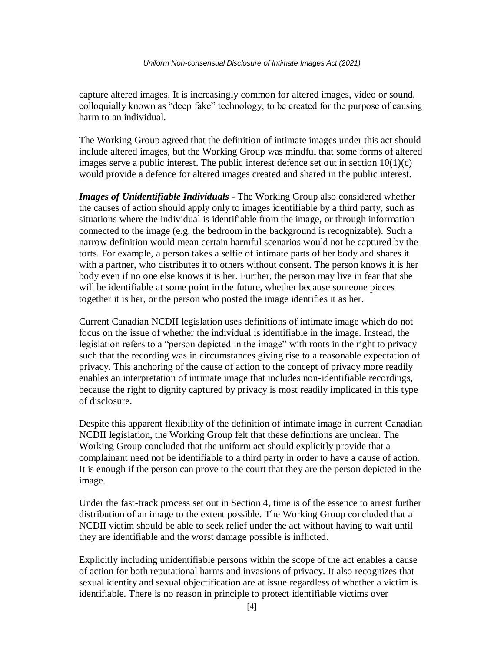capture altered images. It is increasingly common for altered images, video or sound, colloquially known as "deep fake" technology, to be created for the purpose of causing harm to an individual.

The Working Group agreed that the definition of intimate images under this act should include altered images, but the Working Group was mindful that some forms of altered images serve a public interest. The public interest defence set out in section  $10(1)(c)$ would provide a defence for altered images created and shared in the public interest.

*Images of Unidentifiable Individuals -* The Working Group also considered whether the causes of action should apply only to images identifiable by a third party, such as situations where the individual is identifiable from the image, or through information connected to the image (e.g. the bedroom in the background is recognizable). Such a narrow definition would mean certain harmful scenarios would not be captured by the torts. For example, a person takes a selfie of intimate parts of her body and shares it with a partner, who distributes it to others without consent. The person knows it is her body even if no one else knows it is her. Further, the person may live in fear that she will be identifiable at some point in the future, whether because someone pieces together it is her, or the person who posted the image identifies it as her.

Current Canadian NCDII legislation uses definitions of intimate image which do not focus on the issue of whether the individual is identifiable in the image. Instead, the legislation refers to a "person depicted in the image" with roots in the right to privacy such that the recording was in circumstances giving rise to a reasonable expectation of privacy. This anchoring of the cause of action to the concept of privacy more readily enables an interpretation of intimate image that includes non-identifiable recordings, because the right to dignity captured by privacy is most readily implicated in this type of disclosure.

Despite this apparent flexibility of the definition of intimate image in current Canadian NCDII legislation, the Working Group felt that these definitions are unclear. The Working Group concluded that the uniform act should explicitly provide that a complainant need not be identifiable to a third party in order to have a cause of action. It is enough if the person can prove to the court that they are the person depicted in the image.

Under the fast-track process set out in Section 4, time is of the essence to arrest further distribution of an image to the extent possible. The Working Group concluded that a NCDII victim should be able to seek relief under the act without having to wait until they are identifiable and the worst damage possible is inflicted.

Explicitly including unidentifiable persons within the scope of the act enables a cause of action for both reputational harms and invasions of privacy. It also recognizes that sexual identity and sexual objectification are at issue regardless of whether a victim is identifiable. There is no reason in principle to protect identifiable victims over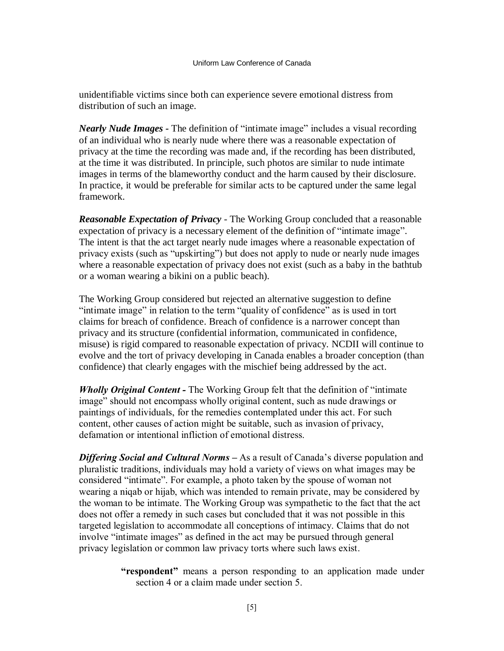unidentifiable victims since both can experience severe emotional distress from distribution of such an image.

*Nearly Nude Images -* The definition of "intimate image" includes a visual recording of an individual who is nearly nude where there was a reasonable expectation of privacy at the time the recording was made and, if the recording has been distributed, at the time it was distributed. In principle, such photos are similar to nude intimate images in terms of the blameworthy conduct and the harm caused by their disclosure. In practice, it would be preferable for similar acts to be captured under the same legal framework.

*Reasonable Expectation of Privacy* - The Working Group concluded that a reasonable expectation of privacy is a necessary element of the definition of "intimate image". The intent is that the act target nearly nude images where a reasonable expectation of privacy exists (such as "upskirting") but does not apply to nude or nearly nude images where a reasonable expectation of privacy does not exist (such as a baby in the bathtub or a woman wearing a bikini on a public beach).

The Working Group considered but rejected an alternative suggestion to define "intimate image" in relation to the term "quality of confidence" as is used in tort claims for breach of confidence. Breach of confidence is a narrower concept than privacy and its structure (confidential information, communicated in confidence, misuse) is rigid compared to reasonable expectation of privacy. NCDII will continue to evolve and the tort of privacy developing in Canada enables a broader conception (than confidence) that clearly engages with the mischief being addressed by the act.

*Wholly Original Content -* The Working Group felt that the definition of "intimate image" should not encompass wholly original content, such as nude drawings or paintings of individuals, for the remedies contemplated under this act. For such content, other causes of action might be suitable, such as invasion of privacy, defamation or intentional infliction of emotional distress.

*Differing Social and Cultural Norms –* As a result of Canada's diverse population and pluralistic traditions, individuals may hold a variety of views on what images may be considered "intimate". For example, a photo taken by the spouse of woman not wearing a niqab or hijab, which was intended to remain private, may be considered by the woman to be intimate. The Working Group was sympathetic to the fact that the act does not offer a remedy in such cases but concluded that it was not possible in this targeted legislation to accommodate all conceptions of intimacy. Claims that do not involve "intimate images" as defined in the act may be pursued through general privacy legislation or common law privacy torts where such laws exist.

> **"respondent"** means a person responding to an application made under section 4 or a claim made under section 5.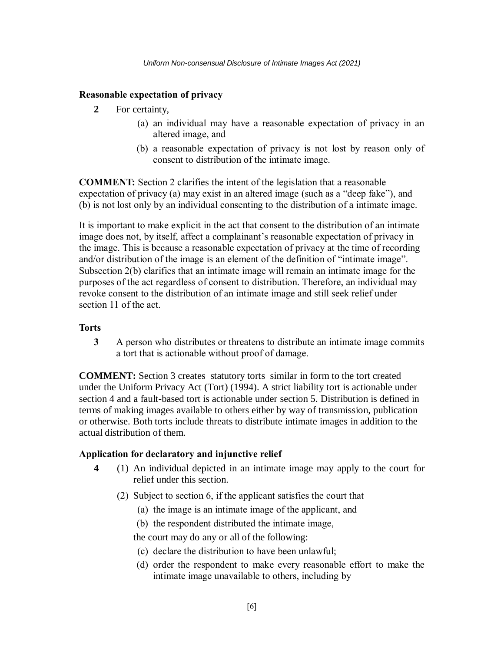## **Reasonable expectation of privacy**

- **2** For certainty,
	- (a) an individual may have a reasonable expectation of privacy in an altered image, and
	- (b) a reasonable expectation of privacy is not lost by reason only of consent to distribution of the intimate image.

**COMMENT:** Section 2 clarifies the intent of the legislation that a reasonable expectation of privacy (a) may exist in an altered image (such as a "deep fake"), and (b) is not lost only by an individual consenting to the distribution of a intimate image.

It is important to make explicit in the act that consent to the distribution of an intimate image does not, by itself, affect a complainant's reasonable expectation of privacy in the image. This is because a reasonable expectation of privacy at the time of recording and/or distribution of the image is an element of the definition of "intimate image". Subsection 2(b) clarifies that an intimate image will remain an intimate image for the purposes of the act regardless of consent to distribution. Therefore, an individual may revoke consent to the distribution of an intimate image and still seek relief under section 11 of the act.

## **Torts**

**3** A person who distributes or threatens to distribute an intimate image commits a tort that is actionable without proof of damage.

**COMMENT:** Section 3 creates statutory torts similar in form to the tort created under the [Uniform Privacy Act \(Tort\) \(1994\).](https://www.ulcc.ca/en/uniform-acts-new-order/older-uniform-acts/513-josetta-1-en-gb/uniform-actsa/privacy-act/624-uniform-privacy-act-tort-1994) A strict liability tort is actionable under section 4 and a fault-based tort is actionable under section 5. Distribution is defined in terms of making images available to others either by way of transmission, publication or otherwise. Both torts include threats to distribute intimate images in addition to the actual distribution of them.

### **Application for declaratory and injunctive relief**

- **4** (1) An individual depicted in an intimate image may apply to the court for relief under this section.
	- (2) Subject to section 6, if the applicant satisfies the court that
		- (a) the image is an intimate image of the applicant, and
		- (b) the respondent distributed the intimate image,

the court may do any or all of the following:

- (c) declare the distribution to have been unlawful;
- (d) order the respondent to make every reasonable effort to make the intimate image unavailable to others, including by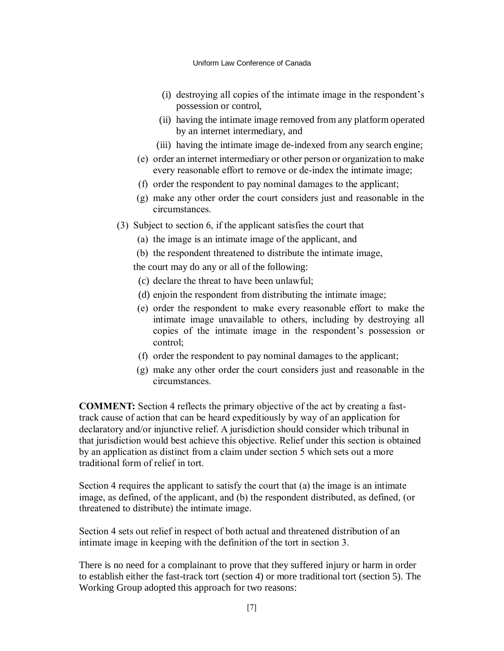- (i) destroying all copies of the intimate image in the respondent's possession or control,
- (ii) having the intimate image removed from any platform operated by an internet intermediary, and
- (iii) having the intimate image de-indexed from any search engine;
- (e) order an internet intermediary or other person or organization to make every reasonable effort to remove or de-index the intimate image;
- (f) order the respondent to pay nominal damages to the applicant;
- (g) make any other order the court considers just and reasonable in the circumstances.
- (3) Subject to section 6, if the applicant satisfies the court that
	- (a) the image is an intimate image of the applicant, and
	- (b) the respondent threatened to distribute the intimate image,

the court may do any or all of the following:

- (c) declare the threat to have been unlawful;
- (d) enjoin the respondent from distributing the intimate image;
- (e) order the respondent to make every reasonable effort to make the intimate image unavailable to others, including by destroying all copies of the intimate image in the respondent's possession or control;
- (f) order the respondent to pay nominal damages to the applicant;
- (g) make any other order the court considers just and reasonable in the circumstances.

**COMMENT:** Section 4 reflects the primary objective of the act by creating a fasttrack cause of action that can be heard expeditiously by way of an application for declaratory and/or injunctive relief. A jurisdiction should consider which tribunal in that jurisdiction would best achieve this objective. Relief under this section is obtained by an application as distinct from a claim under section 5 which sets out a more traditional form of relief in tort.

Section 4 requires the applicant to satisfy the court that (a) the image is an intimate image, as defined, of the applicant, and (b) the respondent distributed, as defined, (or threatened to distribute) the intimate image.

Section 4 sets out relief in respect of both actual and threatened distribution of an intimate image in keeping with the definition of the tort in section 3.

There is no need for a complainant to prove that they suffered injury or harm in order to establish either the fast-track tort (section 4) or more traditional tort (section 5). The Working Group adopted this approach for two reasons: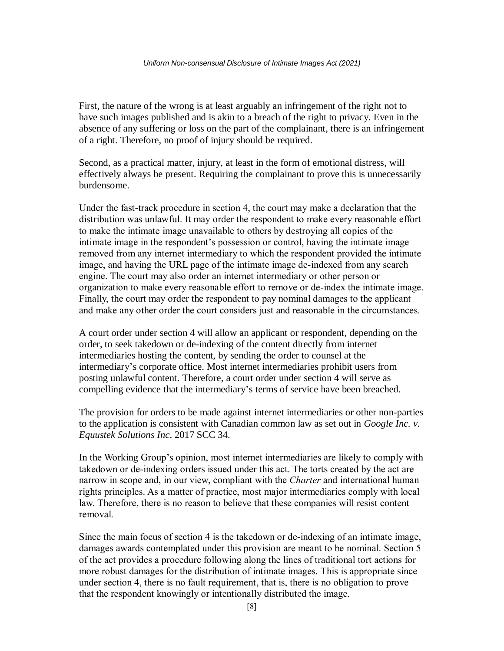First, the nature of the wrong is at least arguably an infringement of the right not to have such images published and is akin to a breach of the right to privacy. Even in the absence of any suffering or loss on the part of the complainant, there is an infringement of a right. Therefore, no proof of injury should be required.

Second, as a practical matter, injury, at least in the form of emotional distress, will effectively always be present. Requiring the complainant to prove this is unnecessarily burdensome.

Under the fast-track procedure in section 4, the court may make a declaration that the distribution was unlawful. It may order the respondent to make every reasonable effort to make the intimate image unavailable to others by destroying all copies of the intimate image in the respondent's possession or control, having the intimate image removed from any internet intermediary to which the respondent provided the intimate image, and having the URL page of the intimate image de-indexed from any search engine. The court may also order an internet intermediary or other person or organization to make every reasonable effort to remove or de-index the intimate image. Finally, the court may order the respondent to pay nominal damages to the applicant and make any other order the court considers just and reasonable in the circumstances.

A court order under section 4 will allow an applicant or respondent, depending on the order, to seek takedown or de-indexing of the content directly from internet intermediaries hosting the content, by sending the order to counsel at the intermediary's corporate office. Most internet intermediaries prohibit users from posting unlawful content. Therefore, a court order under section 4 will serve as compelling evidence that the intermediary's terms of service have been breached.

The provision for orders to be made against internet intermediaries or other non-parties to the application is consistent with Canadian common law as set out in *Google Inc. v. Equustek Solutions Inc*. 2017 SCC 34.

In the Working Group's opinion, most internet intermediaries are likely to comply with takedown or de-indexing orders issued under this act. The torts created by the act are narrow in scope and, in our view, compliant with the *Charter* and international human rights principles. As a matter of practice, most major intermediaries comply with local law. Therefore, there is no reason to believe that these companies will resist content removal.

Since the main focus of section 4 is the takedown or de-indexing of an intimate image, damages awards contemplated under this provision are meant to be nominal. Section 5 of the act provides a procedure following along the lines of traditional tort actions for more robust damages for the distribution of intimate images. This is appropriate since under section 4, there is no fault requirement, that is, there is no obligation to prove that the respondent knowingly or intentionally distributed the image.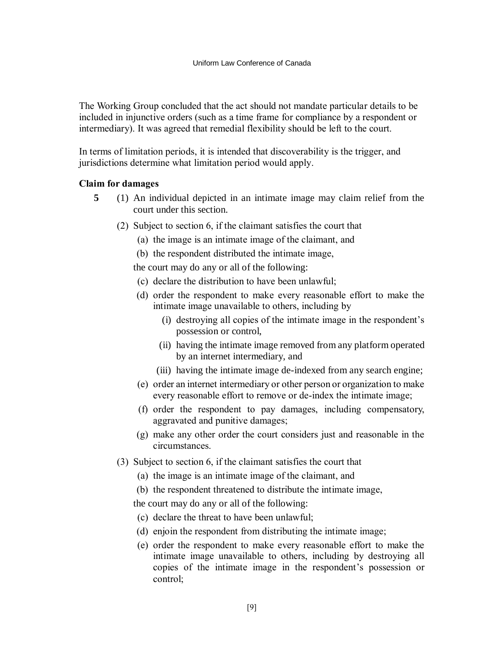The Working Group concluded that the act should not mandate particular details to be included in injunctive orders (such as a time frame for compliance by a respondent or intermediary). It was agreed that remedial flexibility should be left to the court.

In terms of limitation periods, it is intended that discoverability is the trigger, and jurisdictions determine what limitation period would apply.

### **Claim for damages**

- **5** (1) An individual depicted in an intimate image may claim relief from the court under this section.
	- (2) Subject to section 6, if the claimant satisfies the court that
		- (a) the image is an intimate image of the claimant, and
		- (b) the respondent distributed the intimate image,

the court may do any or all of the following:

- (c) declare the distribution to have been unlawful;
- (d) order the respondent to make every reasonable effort to make the intimate image unavailable to others, including by
	- (i) destroying all copies of the intimate image in the respondent's possession or control,
	- (ii) having the intimate image removed from any platform operated by an internet intermediary, and
	- (iii) having the intimate image de-indexed from any search engine;
- (e) order an internet intermediary or other person or organization to make every reasonable effort to remove or de-index the intimate image;
- (f) order the respondent to pay damages, including compensatory, aggravated and punitive damages;
- (g) make any other order the court considers just and reasonable in the circumstances.
- (3) Subject to section 6, if the claimant satisfies the court that
	- (a) the image is an intimate image of the claimant, and
	- (b) the respondent threatened to distribute the intimate image,

the court may do any or all of the following:

- (c) declare the threat to have been unlawful;
- (d) enjoin the respondent from distributing the intimate image;
- (e) order the respondent to make every reasonable effort to make the intimate image unavailable to others, including by destroying all copies of the intimate image in the respondent's possession or control;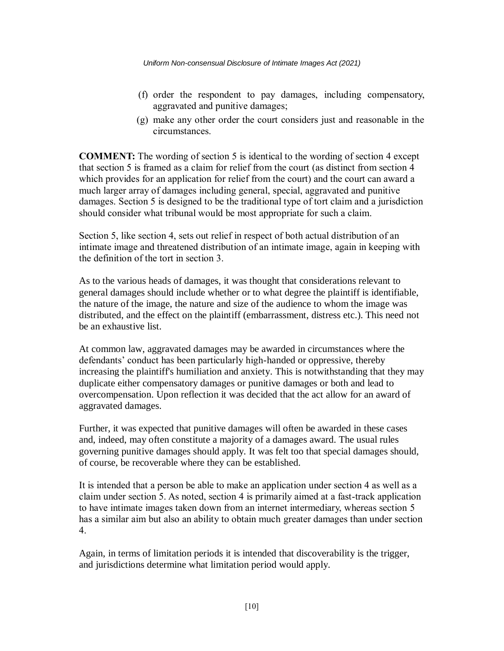- (f) order the respondent to pay damages, including compensatory, aggravated and punitive damages;
- (g) make any other order the court considers just and reasonable in the circumstances.

**COMMENT:** The wording of section 5 is identical to the wording of section 4 except that section 5 is framed as a claim for relief from the court (as distinct from section 4 which provides for an application for relief from the court) and the court can award a much larger array of damages including general, special, aggravated and punitive damages. Section 5 is designed to be the traditional type of tort claim and a jurisdiction should consider what tribunal would be most appropriate for such a claim.

Section 5, like section 4, sets out relief in respect of both actual distribution of an intimate image and threatened distribution of an intimate image, again in keeping with the definition of the tort in section 3.

As to the various heads of damages, it was thought that considerations relevant to general damages should include whether or to what degree the plaintiff is identifiable, the nature of the image, the nature and size of the audience to whom the image was distributed, and the effect on the plaintiff (embarrassment, distress etc.). This need not be an exhaustive list.

At common law, aggravated damages may be awarded in circumstances where the defendants' conduct has been particularly high-handed or oppressive, thereby increasing the plaintiff's humiliation and anxiety. This is notwithstanding that they may duplicate either compensatory damages or punitive damages or both and lead to overcompensation. Upon reflection it was decided that the act allow for an award of aggravated damages.

Further, it was expected that punitive damages will often be awarded in these cases and, indeed, may often constitute a majority of a damages award. The usual rules governing punitive damages should apply. It was felt too that special damages should, of course, be recoverable where they can be established.

It is intended that a person be able to make an application under section 4 as well as a claim under section 5. As noted, section 4 is primarily aimed at a fast-track application to have intimate images taken down from an internet intermediary, whereas section 5 has a similar aim but also an ability to obtain much greater damages than under section 4.

Again, in terms of limitation periods it is intended that discoverability is the trigger, and jurisdictions determine what limitation period would apply.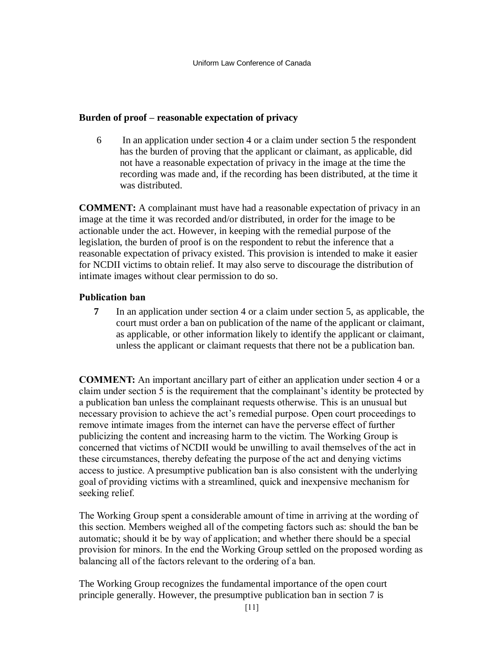## **Burden of proof – reasonable expectation of privacy**

6 In an application under section 4 or a claim under section 5 the respondent has the burden of proving that the applicant or claimant, as applicable, did not have a reasonable expectation of privacy in the image at the time the recording was made and, if the recording has been distributed, at the time it was distributed.

**COMMENT:** A complainant must have had a reasonable expectation of privacy in an image at the time it was recorded and/or distributed, in order for the image to be actionable under the act. However, in keeping with the remedial purpose of the legislation, the burden of proof is on the respondent to rebut the inference that a reasonable expectation of privacy existed. This provision is intended to make it easier for NCDII victims to obtain relief. It may also serve to discourage the distribution of intimate images without clear permission to do so.

## **Publication ban**

**7** In an application under section 4 or a claim under section 5, as applicable, the court must order a ban on publication of the name of the applicant or claimant, as applicable, or other information likely to identify the applicant or claimant, unless the applicant or claimant requests that there not be a publication ban.

**COMMENT:** An important ancillary part of either an application under section 4 or a claim under section 5 is the requirement that the complainant's identity be protected by a publication ban unless the complainant requests otherwise. This is an unusual but necessary provision to achieve the act's remedial purpose. Open court proceedings to remove intimate images from the internet can have the perverse effect of further publicizing the content and increasing harm to the victim. The Working Group is concerned that victims of NCDII would be unwilling to avail themselves of the act in these circumstances, thereby defeating the purpose of the act and denying victims access to justice. A presumptive publication ban is also consistent with the underlying goal of providing victims with a streamlined, quick and inexpensive mechanism for seeking relief.

The Working Group spent a considerable amount of time in arriving at the wording of this section. Members weighed all of the competing factors such as: should the ban be automatic; should it be by way of application; and whether there should be a special provision for minors. In the end the Working Group settled on the proposed wording as balancing all of the factors relevant to the ordering of a ban.

The Working Group recognizes the fundamental importance of the open court principle generally. However, the presumptive publication ban in section 7 is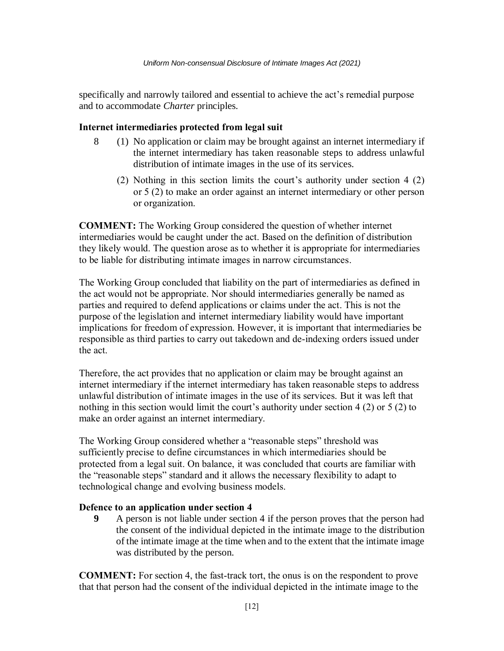specifically and narrowly tailored and essential to achieve the act's remedial purpose and to accommodate *Charter* principles.

### **Internet intermediaries protected from legal suit**

- 8 (1) No application or claim may be brought against an internet intermediary if the internet intermediary has taken reasonable steps to address unlawful distribution of intimate images in the use of its services.
	- (2) Nothing in this section limits the court's authority under section 4 (2) or 5 (2) to make an order against an internet intermediary or other person or organization.

**COMMENT:** The Working Group considered the question of whether internet intermediaries would be caught under the act. Based on the definition of distribution they likely would. The question arose as to whether it is appropriate for intermediaries to be liable for distributing intimate images in narrow circumstances.

The Working Group concluded that liability on the part of intermediaries as defined in the act would not be appropriate. Nor should intermediaries generally be named as parties and required to defend applications or claims under the act. This is not the purpose of the legislation and internet intermediary liability would have important implications for freedom of expression. However, it is important that intermediaries be responsible as third parties to carry out takedown and de-indexing orders issued under the act.

Therefore, the act provides that no application or claim may be brought against an internet intermediary if the internet intermediary has taken reasonable steps to address unlawful distribution of intimate images in the use of its services. But it was left that nothing in this section would limit the court's authority under section 4 (2) or 5 (2) to make an order against an internet intermediary.

The Working Group considered whether a "reasonable steps" threshold was sufficiently precise to define circumstances in which intermediaries should be protected from a legal suit. On balance, it was concluded that courts are familiar with the "reasonable steps" standard and it allows the necessary flexibility to adapt to technological change and evolving business models.

#### **Defence to an application under section 4**

**9** A person is not liable under section 4 if the person proves that the person had the consent of the individual depicted in the intimate image to the distribution of the intimate image at the time when and to the extent that the intimate image was distributed by the person.

**COMMENT:** For section 4, the fast-track tort, the onus is on the respondent to prove that that person had the consent of the individual depicted in the intimate image to the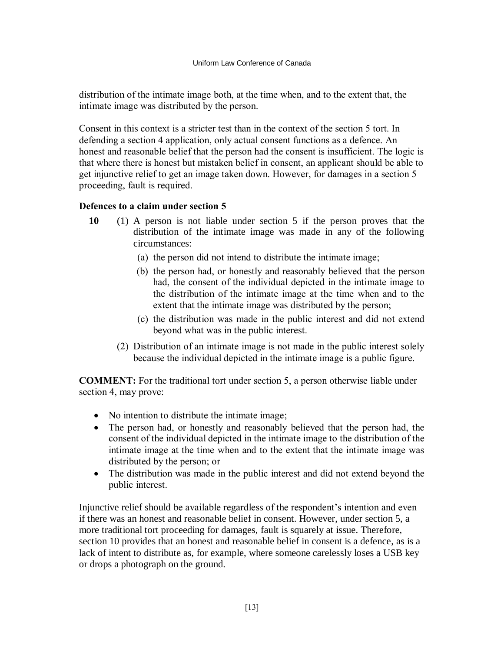distribution of the intimate image both, at the time when, and to the extent that, the intimate image was distributed by the person.

Consent in this context is a stricter test than in the context of the section 5 tort. In defending a section 4 application, only actual consent functions as a defence. An honest and reasonable belief that the person had the consent is insufficient. The logic is that where there is honest but mistaken belief in consent, an applicant should be able to get injunctive relief to get an image taken down. However, for damages in a section 5 proceeding, fault is required.

## **Defences to a claim under section 5**

- **10** (1) A person is not liable under section 5 if the person proves that the distribution of the intimate image was made in any of the following circumstances:
	- (a) the person did not intend to distribute the intimate image;
	- (b) the person had, or honestly and reasonably believed that the person had, the consent of the individual depicted in the intimate image to the distribution of the intimate image at the time when and to the extent that the intimate image was distributed by the person;
	- (c) the distribution was made in the public interest and did not extend beyond what was in the public interest.
	- (2) Distribution of an intimate image is not made in the public interest solely because the individual depicted in the intimate image is a public figure.

**COMMENT:** For the traditional tort under section 5, a person otherwise liable under section 4, may prove:

- No intention to distribute the intimate image;
- The person had, or honestly and reasonably believed that the person had, the consent of the individual depicted in the intimate image to the distribution of the intimate image at the time when and to the extent that the intimate image was distributed by the person; or
- The distribution was made in the public interest and did not extend beyond the public interest.

Injunctive relief should be available regardless of the respondent's intention and even if there was an honest and reasonable belief in consent. However, under section 5, a more traditional tort proceeding for damages, fault is squarely at issue. Therefore, section 10 provides that an honest and reasonable belief in consent is a defence, as is a lack of intent to distribute as, for example, where someone carelessly loses a USB key or drops a photograph on the ground.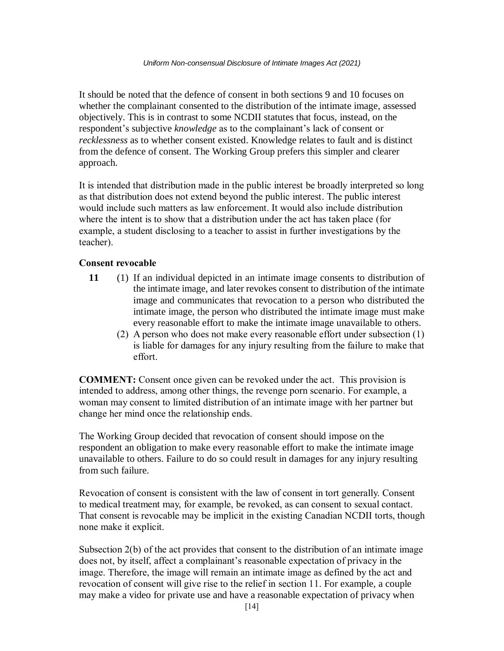It should be noted that the defence of consent in both sections 9 and 10 focuses on whether the complainant consented to the distribution of the intimate image, assessed objectively. This is in contrast to some NCDII statutes that focus, instead, on the respondent's subjective *knowledge* as to the complainant's lack of consent or *recklessness* as to whether consent existed. Knowledge relates to fault and is distinct from the defence of consent. The Working Group prefers this simpler and clearer approach.

It is intended that distribution made in the public interest be broadly interpreted so long as that distribution does not extend beyond the public interest. The public interest would include such matters as law enforcement. It would also include distribution where the intent is to show that a distribution under the act has taken place (for example, a student disclosing to a teacher to assist in further investigations by the teacher).

### **Consent revocable**

- **11** (1) If an individual depicted in an intimate image consents to distribution of the intimate image, and later revokes consent to distribution of the intimate image and communicates that revocation to a person who distributed the intimate image, the person who distributed the intimate image must make every reasonable effort to make the intimate image unavailable to others.
	- (2) A person who does not make every reasonable effort under subsection (1) is liable for damages for any injury resulting from the failure to make that effort.

**COMMENT:** Consent once given can be revoked under the act. This provision is intended to address, among other things, the revenge porn scenario. For example, a woman may consent to limited distribution of an intimate image with her partner but change her mind once the relationship ends.

The Working Group decided that revocation of consent should impose on the respondent an obligation to make every reasonable effort to make the intimate image unavailable to others. Failure to do so could result in damages for any injury resulting from such failure.

Revocation of consent is consistent with the law of consent in tort generally. Consent to medical treatment may, for example, be revoked, as can consent to sexual contact. That consent is revocable may be implicit in the existing Canadian NCDII torts, though none make it explicit.

Subsection 2(b) of the act provides that consent to the distribution of an intimate image does not, by itself, affect a complainant's reasonable expectation of privacy in the image. Therefore, the image will remain an intimate image as defined by the act and revocation of consent will give rise to the relief in section 11. For example, a couple may make a video for private use and have a reasonable expectation of privacy when